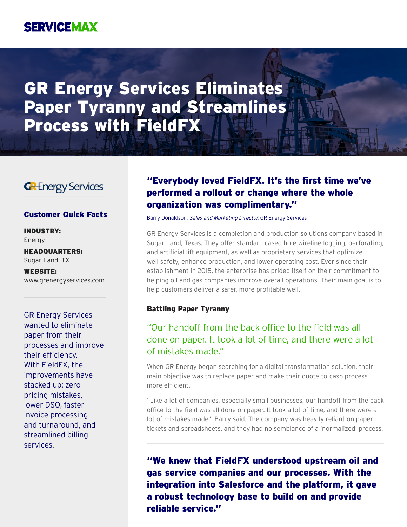## **SERVICEMAX**

# GR Energy Services Eliminates Paper Tyranny and Streamlines Process with FieldFX

### **GRE**nergy Services

INDUSTRY: Energy

HEADQUARTERS: Sugar Land, TX

WEBSITE: www.grenergyservices.com

GR Energy Services wanted to eliminate paper from their processes and improve their efficiency. With FieldFX, the improvements have stacked up: zero pricing mistakes, lower DSO, faster invoice processing and turnaround, and streamlined billing services.

### "Everybody loved FieldFX. It's the first time we've performed a rollout or change where the whole organization was complimentary."

**Customer Quick Facts** Barry Donaldson, Sales and Marketing Director, GR Energy Services

GR Energy Services is a completion and production solutions company based in Sugar Land, Texas. They offer standard cased hole wireline logging, perforating, and artificial lift equipment, as well as proprietary services that optimize well safety, enhance production, and lower operating cost. Ever since their establishment in 2015, the enterprise has prided itself on their commitment to helping oil and gas companies improve overall operations. Their main goal is to help customers deliver a safer, more profitable well.

#### Battling Paper Tyranny

### "Our handoff from the back office to the field was all done on paper. It took a lot of time, and there were a lot of mistakes made."

When GR Energy began searching for a digital transformation solution, their main objective was to replace paper and make their quote-to-cash process more efficient.

"Like a lot of companies, especially small businesses, our handoff from the back office to the field was all done on paper. It took a lot of time, and there were a lot of mistakes made," Barry said. The company was heavily reliant on paper tickets and spreadsheets, and they had no semblance of a 'normalized' process.

"We knew that FieldFX understood upstream oil and gas service companies and our processes. With the integration into Salesforce and the platform, it gave a robust technology base to build on and provide reliable service."